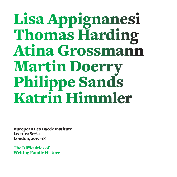# Lisa Appignanesi **Thomas Harding Atina Grossmann** Martin Doerry Philippe Sands Katrin Himmler

European Leo Baeck Institute Lecture Series London, 2017-18

The Difficulties of **Writing Family History**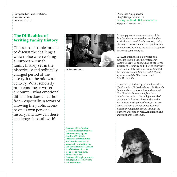**European Leo Baeck Institute Lecture** Series London, 2017-18

## The Difficulties of **Writing Family History**

This season's topic intends to discuss the challenges which arise when writing a European-Jewish family history set in the historically and politically charged period of the late 19th to the mid-20th century. What scholarly problems does a writer encounter, what emotional difficulties does an author face – especially in terms of allowing the public access to one's own personal history, and how can these challenges be dealt with?



*Ex Memoria* (2006)

**Lectures** will be held at: **German Historical Institute 17 Bloomsbury Square** London WC<sub>1</sub>A<sub>2NJ</sub>. **Places** are strictly limited and must be reserved in **advance** by contacting the Leo Baeck Institute, London **e**: info@leobaeck.co.uk **t:** +44 (0) 20 7882 5690. **Admission** is free. **Lectures** will begin promptly at 6.30pm. Latecomers may not be admitted.

Prof. Lisa Appignanesi King's College London, UK **Losing the Dead – Before and After** 6.30pm, 7 December 2017

Lisa Appignanesi teases out some of the hurdles she encountered researching her critically acclaimed family memoir, Losing the Dead. These extended post publication: memoir writing elicits the kinds of responses historical texts rarely do.

Lisa Appignanesi OBE is a writer and novelist. She is a Visiting Professor at King's College, London, Chair of the Royal Society of Literature and Chair of this year's Man Booker International Prize. Amongst her books are Mad, Bad and Sad: A History of Women and the Mind Doctors and The Memory Man.

PLEASE NOTE: A short 15 minute film called *Ex Memoria, will also be shown. Ex Memoria* is a film about memory, loss and survival; Eva Lipschitz is a survivor, but she is now locked away in the twilight world of Alzheimer's disease. The film shows the world from Eva's point of view, at her eye level, and how a chance encounter with a caring young nurse breaks through the barriers. Directed by Josh Appignanesi and starring Sarah Kestleman.

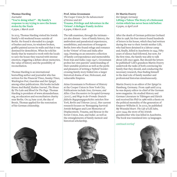#### **Thomas** Harding *Journalist* "You're doing what?" - My family's **response to my trying to save the house** stolen by the Nazis 6.30pm, 1 March 2018

In 2013, Thomas Harding visited his Jewish family's old weekend house outside of Berlin. He found it shrouded in a jungle of bushes and trees, its windows broken, graffiti painted across its walls and that it was destined for demolition. When he told his family that he wanted to work with the locals to save the house they reacted with intense emotion, triggering a debate about memories, the value of history and the possibility of .reconciliation

Thomas Harding is an international bestselling author and journalist who has written for the Financial Times, Sunday Times,  $Washington Post, Guardian and Der Spiegel,$ among other publications. His books include *Hanns And Rudolf, Kadian Journal, The House* By The Lake and *Blood On The Page*. Thomas Harding is president of www.alexanderhaus. org, an education and reconciliation charity near Berlin. On 24 June 2016, the day of Brexit, Thomas applied for the restoration of his German citizenship.



#### **Prof. Atina Grossmann** *The Cooper Union for the Advancement* of Science and Art **Trauma, Privilege and Adventure in the** 'Orient': A Refugee Family Archive 6.30pm, 8 March 2018

The talk examines, through the intimate yet also distant – lens of family history, the ambivalent and paradoxical experiences, sensibilities, and emotions of bourgeois Berlin Jews who found refuge and romance in the 'Orient' of Iran and India after 1933. Drawing on an extensive collection of family correspondence and memorabilia from Iran and India (1935-1947), Grossmann probes her own parents' understanding of their unstable position as well as the perils crossing family story folded into a larger and pleasures of writing a 'hybrid' borderhistorical drama of war, Holocaust, and vulnerable Empires.

Atina Grossmann is Professor of History at the Cooper Union in New York City. Publications include Jews, Germans, and *Allies: Close Encounters in Occupied Germany* jüdische Begegnungsgeschichte zwischen New *(2007)*, and Wege in der Fremde: Deutsch-York, Berlin und Teheran (2012). Her current research focuses on 'Remapping Survival: Jewish Refugees and Lost Memories of Displacement, Trauma, and Rescue in the Soviet Union, Iran, and India', as well as the entanglements of family memoir and historical scholarship.



#### **Dr Martin Doerry** Der Spiegel, Germany **Lifting a Taboo: The Story of a Holocaust b** become which has never been told before 6.30pm, 12 April 2018

After the death of German politician Gerhard Jahn in 1998, his four sisters found hundreds of letters in his house, which they had written during the war to their Jewish mother Lilli, who had been detained in a labour camp and, finally, killed in Auschwitz in 1944. Fifty years of silence had followed, but now, for the first time, the family was able to talk about Lilli once again. But should the letters be published? Lilli's grandson Martin Doerry undertook the tasks of both convincing his family that they should, and conducting the necessary research, thus finding himself in the dual role of family member and professional historian simultaneously.

Martin Doerry is an editor of Der Spiegel in Hamburg, Germany. From 1998 until 2014 he was deputy editor-in-chief of the German news magazine. He studied History and German Literature in Tübingen and Zürich and received his PhD in 1986 with a thesis on the political mentality of the generation of Emperor Wilhelm II. In 2002, he published *My Wounded Heart. The Life of Lilli Jahn,* 1900-1944, the story of his Jewish grandmother who was killed in Auschwitz. The book was translated into 19 languages.

*overleaf continued*